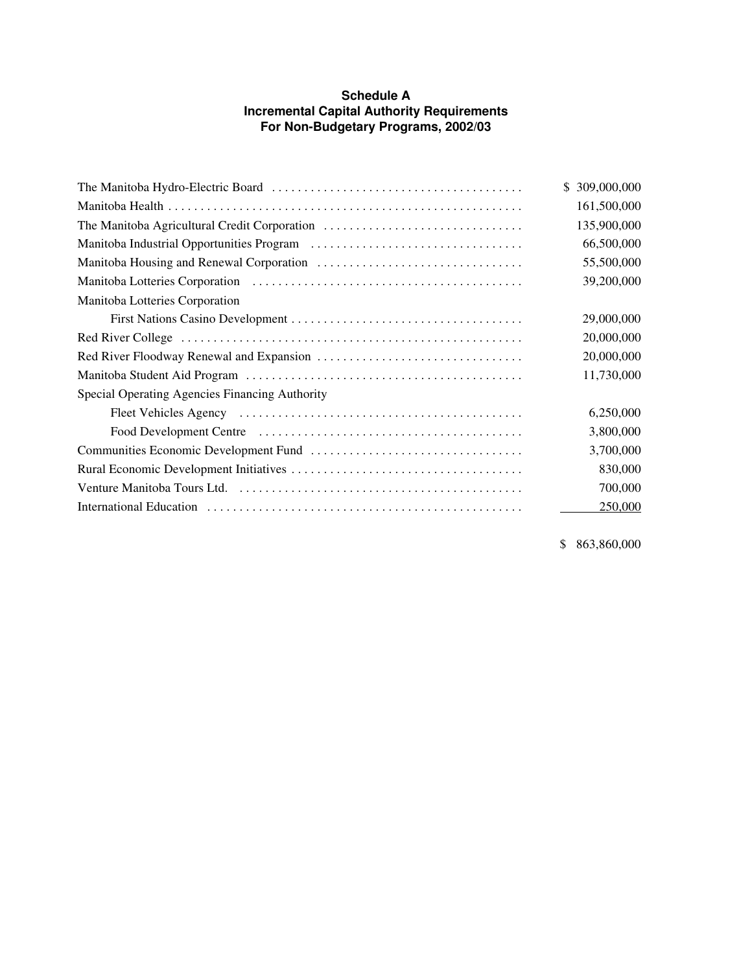## **Schedule A Incremental Capital Authority Requirements For Non-Budgetary Programs, 2002/03**

|                                                | \$ 309,000,000 |
|------------------------------------------------|----------------|
|                                                | 161,500,000    |
| The Manitoba Agricultural Credit Corporation   | 135,900,000    |
|                                                | 66,500,000     |
|                                                | 55,500,000     |
|                                                | 39,200,000     |
| Manitoba Lotteries Corporation                 |                |
|                                                | 29,000,000     |
|                                                | 20,000,000     |
|                                                | 20,000,000     |
|                                                | 11,730,000     |
| Special Operating Agencies Financing Authority |                |
|                                                | 6,250,000      |
|                                                | 3,800,000      |
|                                                | 3,700,000      |
|                                                | 830,000        |
|                                                | 700,000        |
|                                                | 250,000        |

\$ 863,860,000